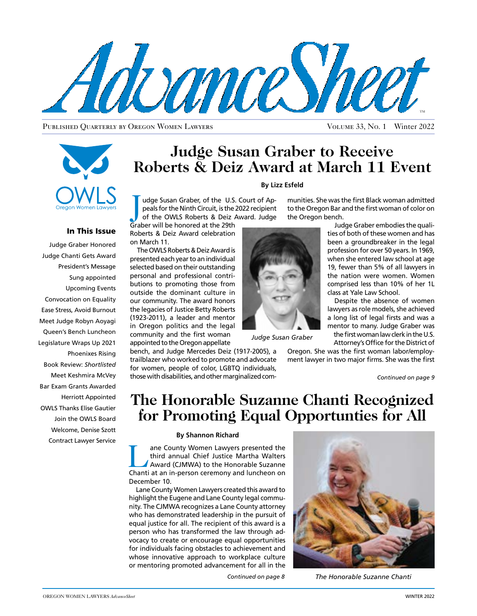

Published Quarterly by Oregon Women Lawyers Volume 33, No. 1 Winter 2022



### In This Issue

Judge Graber Honored Judge Chanti Gets Award President's Message Sung appointed Upcoming Events Convocation on Equality Ease Stress, Avoid Burnout Meet Judge Robyn Aoyagi Queen's Bench Luncheon Legislature Wraps Up 2021 Phoenixes Rising Book Review: *Shortlisted* Meet Keshmira McVey Bar Exam Grants Awarded Herriott Appointed OWLS Thanks Elise Gautier Join the OWLS Board Welcome, Denise Szott Contract Lawyer Service

### **Judge Susan Graber to Receive Roberts & Deiz Award at March 11 Event**

#### **By Lizz Esfeld**

I udge Susan Graber, of the U.S.<br>
peals for the Ninth Circuit, is the 2<br>
of the OWLS Roberts & Deiz A<br>
Graber will be honored at the 29th udge Susan Graber, of the U.S. Court of Appeals for the Ninth Circuit, is the 2022 recipient of the OWLS Roberts & Deiz Award. Judge

Roberts & Deiz Award celebration

on March 11. The OWLS Roberts & Deiz Award is presented each year to an individual selected based on their outstanding personal and professional contributions to promoting those from outside the dominant culture in our community. The award honors the legacies of Justice Betty Roberts (1923-2011), a leader and mentor in Oregon politics and the legal community and the first woman appointed to the Oregon appellate

bench, and Judge Mercedes Deiz (1917-2005), a trailblazer who worked to promote and advocate for women, people of color, LGBTQ individuals, those with disabilities, and other marginalized com-



*Judge Susan Graber*

the Oregon bench. Judge Graber embodies the qualities of both of these women and has been a groundbreaker in the legal profession for over 50 years. In 1969, when she entered law school at age 19, fewer than 5% of all lawyers in the nation were women. Women comprised less than 10% of her 1L

munities. She was the first Black woman admitted to the Oregon Bar and the first woman of color on

> class at Yale Law School. Despite the absence of women lawyers as role models, she achieved a long list of legal firsts and was a mentor to many. Judge Graber was the first woman law clerk in the U.S.

Attorney's Office for the District of

Oregon. She was the first woman labor/employment lawyer in two major firms. She was the first

### **The Honorable Suzanne Chanti Recognized for Promoting Equal Opportunties for All**

#### **By Shannon Richard**

The County Women Lawyers presented the<br>
third annual Chief Justice Martha Walters<br>
Award (CJMWA) to the Honorable Suzanne<br>
Chanti at an in-nerson ceremony and Juncheon on third annual Chief Justice Martha Walters Chanti at an in-person ceremony and luncheon on December 10.

Lane County Women Lawyers created this award to highlight the Eugene and Lane County legal community. The CJMWA recognizes a Lane County attorney who has demonstrated leadership in the pursuit of equal justice for all. The recipient of this award is a person who has transformed the law through advocacy to create or encourage equal opportunities for individuals facing obstacles to achievement and whose innovative approach to workplace culture or mentoring promoted advancement for all in the



*The Honorable Suzanne Chanti*

*Continued on page 8*

*Continued on page 9*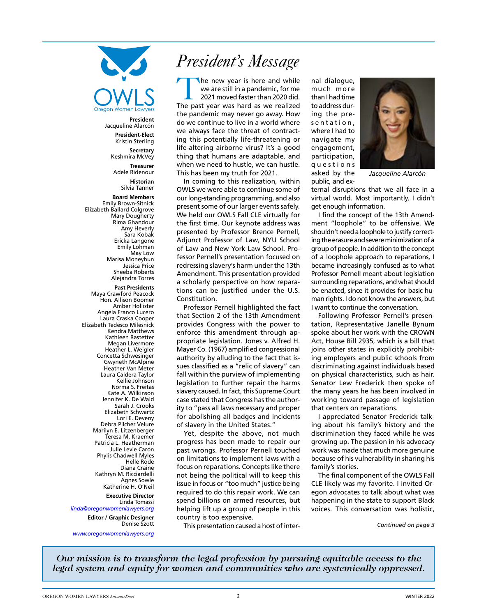

**President** Jacqueline Alarcón

> **President-Elect** Kristin Sterling

**Secretary** Keshmira McVey

**Treasurer** Adele Ridenour **Historian** Silvia Tanner

**Board Members**

Emily Brown-Sitnick Elizabeth Ballard Colgrove Mary Dougherty Rima Ghandour Amy Heverly Sara Kobak Ericka Langone Emily Lohman May Low Marisa Moneyhun Jessica Price Sheeba Roberts Alejandra Torres

**Past Presidents** Maya Crawford Peacock Hon. Allison Boomer Amber Hollister Angela Franco Lucero Laura Craska Cooper Elizabeth Tedesco Milesnick Kendra Matthews Kathleen Rastetter Megan Livermore Heather L. Weigler Concetta Schwesinger Gwyneth McAlpine Heather Van Meter Laura Caldera Taylor Kellie Johnson Norma S. Freitas Kate A. Wilkinson Jennifer K. De Wald Sarah J. Crooks Elizabeth Schwartz Lori E. Deveny Debra Pilcher Velure Marilyn E. Litzenberger Teresa M. Kraemer Patricia L. Heatherman Julie Levie Caron Phylis Chadwell Myles Helle Rode Diana Craine Kathryn M. Ricciardelli Agnes Sowle Katherine H. O'Neil **Executive Director**

Linda Tomassi *linda@oregonwomenlawyers.org* **Editor / Graphic Designer** Denise Szott

*www.oregonwomenlawyers.org*

### *President's Message*

The new year is here and while<br>we are still in a pandemic, for me<br>2021 moved faster than 2020 did. we are still in a pandemic, for me 2021 moved faster than 2020 did. The past year was hard as we realized the pandemic may never go away. How do we continue to live in a world where we always face the threat of contracting this potentially life-threatening or life-altering airborne virus? It's a good thing that humans are adaptable, and when we need to hustle, we can hustle. This has been my truth for 2021.

In coming to this realization, within OWLS we were able to continue some of our long-standing programming, and also present some of our larger events safely. We held our OWLS Fall CLE virtually for the first time. Our keynote address was presented by Professor Brence Pernell, Adjunct Professor of Law, NYU School of Law and New York Law School. Professor Pernell's presentation focused on redressing slavery's harm under the 13th Amendment. This presentation provided a scholarly perspective on how reparations can be justified under the U.S. Constitution.

Professor Pernell highlighted the fact that Section 2 of the 13th Amendment provides Congress with the power to enforce this amendment through appropriate legislation. Jones v. Alfred H. Mayer Co. (1967) amplified congressional authority by alluding to the fact that issues classified as a "relic of slavery" can fall within the purview of implementing legislation to further repair the harms slavery caused. In fact, this Supreme Court case stated that Congress has the authority to "pass all laws necessary and proper for abolishing all badges and incidents of slavery in the United States."

Yet, despite the above, not much progress has been made to repair our past wrongs. Professor Pernell touched on limitations to implement laws with a focus on reparations. Concepts like there not being the political will to keep this issue in focus or "too much" justice being required to do this repair work. We can spend billions on armed resources, but helping lift up a group of people in this country is too expensive.

This presentation caused a host of inter-

nal dialogue, much more than I had time to address during the presentation, where I had to navigate my engagement, participation, q u e s t i o n s asked by the public, and ex-



*Jacqueline Alarcón*

ternal disruptions that we all face in a virtual world. Most importantly, I didn't get enough information.

I find the concept of the 13th Amendment "loophole" to be offensive. We shouldn't need a loophole to justify correcting the erasure and severe minimization of a group of people. In addition to the concept of a loophole approach to reparations, I became increasingly confused as to what Professor Pernell meant about legislation surrounding reparations, and what should be enacted, since it provides for basic human rights. I do not know the answers, but I want to continue the conversation.

Following Professor Pernell's presentation, Representative Janelle Bynum spoke about her work with the CROWN Act, House Bill 2935, which is a bill that joins other states in explicitly prohibiting employers and public schools from discriminating against individuals based on physical characteristics, such as hair. Senator Lew Frederick then spoke of the many years he has been involved in working toward passage of legislation that centers on reparations.

I appreciated Senator Frederick talking about his family's history and the discrimination they faced while he was growing up. The passion in his advocacy work was made that much more genuine because of his vulnerability in sharing his family's stories.

The final component of the OWLS Fall CLE likely was my favorite. I invited Oregon advocates to talk about what was happening in the state to support Black voices. This conversation was holistic,

*Continued on page 3*

*Our mission is to transform the legal profession by pursuing equitable access to the legal system and equity for women and communities who are systemically oppressed.*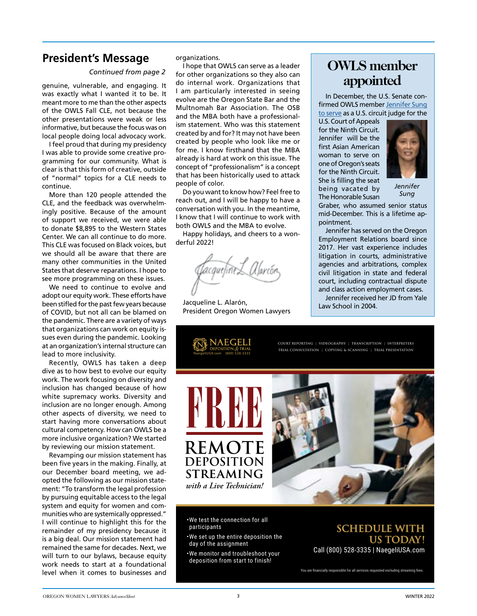### **President's Message**

#### *Continued from page 2*

genuine, vulnerable, and engaging. It was exactly what I wanted it to be. It meant more to me than the other aspects of the OWLS Fall CLE, not because the other presentations were weak or less informative, but because the focus was on local people doing local advocacy work.

I feel proud that during my presidency I was able to provide some creative programming for our community. What is clear is that this form of creative, outside of "normal" topics for a CLE needs to continue.

More than 120 people attended the CLE, and the feedback was overwhelmingly positive. Because of the amount of support we received, we were able to donate \$8,895 to the Western States Center. We can all continue to do more. This CLE was focused on Black voices, but we should all be aware that there are many other communities in the United States that deserve reparations. I hope to see more programming on these issues.

We need to continue to evolve and adopt our equity work. These efforts have been stifled for the past few years because of COVID, but not all can be blamed on the pandemic. There are a variety of ways that organizations can work on equity issues even during the pandemic. Looking at an organization's internal structure can lead to more inclusivity.

Recently, OWLS has taken a deep dive as to how best to evolve our equity work. The work focusing on diversity and inclusion has changed because of how white supremacy works. Diversity and inclusion are no longer enough. Among other aspects of diversity, we need to start having more conversations about cultural competency. How can OWLS be a more inclusive organization? We started by reviewing our mission statement.

Revamping our mission statement has been five years in the making. Finally, at our December board meeting, we adopted the following as our mission statement: "To transform the legal profession by pursuing equitable access to the legal system and equity for women and communities who are systemically oppressed." I will continue to highlight this for the remainder of my presidency because it is a big deal. Our mission statement had remained the same for decades. Next, we will turn to our bylaws, because equity work needs to start at a foundational level when it comes to businesses and

organizations.

I hope that OWLS can serve as a leader for other organizations so they also can do internal work. Organizations that I am particularly interested in seeing evolve are the Oregon State Bar and the Multnomah Bar Association. The OSB and the MBA both have a professionalism statement. Who was this statement created by and for? It may not have been created by people who look like me or for me. I know firsthand that the MBA already is hard at work on this issue. The concept of "professionalism" is a concept that has been historically used to attack people of color.

Do you want to know how? Feel free to reach out, and I will be happy to have a conversation with you. In the meantime, I know that I will continue to work with both OWLS and the MBA to evolve.

Happy holidays, and cheers to a wonderful 2022!

Jacqueline L. Alarón, President Oregon Women Lawyers

**AEGELI** 

NaegeliUSA.com (800) 528-3335

### **OWLS member appointed**

In December, the U.S. Senate confirmed OWLS member [Jennifer Sung](https://cdn.ca9.uscourts.gov/datastore/ce9/2021/12/Sung_Jennifer_Confirmed.pdf) [to serve](https://cdn.ca9.uscourts.gov/datastore/ce9/2021/12/Sung_Jennifer_Confirmed.pdf) as a U.S. circuit judge for the

U.S. Court of Appeals for the Ninth Circuit. Jennifer will be the first Asian American woman to serve on one of Oregon's seats for the Ninth Circuit. She is filling the seat being vacated by The Honorable Susan



*Jennifer Sung*

Graber, who assumed senior status mid-December. This is a lifetime appointment.

Jennifer has served on the Oregon Employment Relations board since 2017. Her vast experience includes litigation in courts, administrative agencies and arbitrations, complex civil litigation in state and federal court, including contractual dispute and class action employment cases.

Jennifer received her JD from Yale Law School in 2004.

**COURT REPORTING | VIDEOGRAPHY | TRANSCRIPTION | INTERPRETERS TRIAL CONSULTATION | COPYING & SCANNING | TRIAL PRESENTATION**



•We test the connection for all participants

- •We set up the entire deposition the day of the assignment
- •We monitor and troubleshoot your deposition from start to finish!

### **SCHEDULE WITH US TODAY!** Call (800) 528-3335 | NaegeliUSA.com

You are financially responsible for all services requested excluding streaming fees.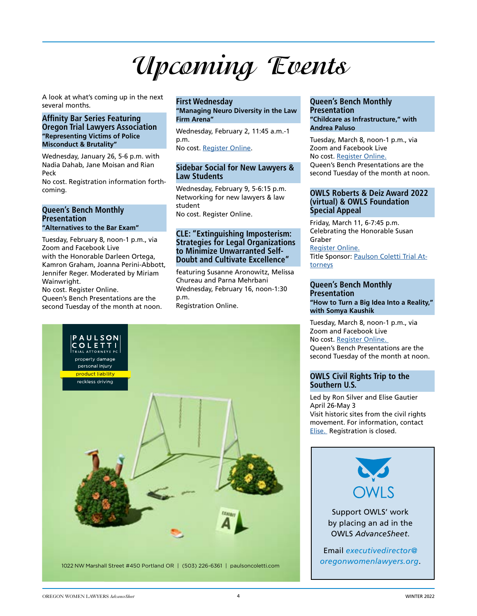# **Upcoming Events**

A look at what's coming up in the next several months.

#### **Affinity Bar Series Featuring Oregon Trial Lawyers Association "Representing Victims of Police Misconduct & Brutality"**

Wednesday, January 26, 5-6 p.m. with Nadia Dahab, Jane Moisan and Rian Peck

No cost. Registration information forthcoming.

#### **Queen's Bench Monthly Presentation "Alternatives to the Bar Exam"**

Tuesday, February 8, noon-1 p.m., via Zoom and Facebook Live with the Honorable Darleen Ortega, Kamron Graham, Joanna Perini-Abbott, Jennifer Reger. Moderated by Miriam Wainwright.

No cost. Register Online. Queen's Bench Presentations are the second Tuesday of the month at noon.

#### **First Wednesday "Managing Neuro Diversity in the Law Firm Arena"**

Wednesday, February 2, 11:45 a.m.-1 p.m.

No cost. [Register Online.](https://membership.oregonwomenlawyers.org/civicrm/event/register?reset=1&id=151)

### **Sidebar Social for New Lawyers & Law Students**

Wednesday, February 9, 5-6:15 p.m. Networking for new lawyers & law student No cost. Register Online.

### **CLE: "Extinguishing Imposterism: Strategies for Legal Organizations to Minimize Unwarranted Self-Doubt and Cultivate Excellence"**

featuring Susanne Aronowitz, Melissa Chureau and Parna Mehrbani Wednesday, February 16, noon-1:30 p.m. Registration Online.



### **Queen's Bench Monthly Presentation "Childcare as Infrastructure," with**

**Andrea Paluso** 

Tuesday, March 8, noon-1 p.m., via Zoom and Facebook Live No cost. [Register Online.](http://www.owlsqueensbench.org/monthly-cle.html) Queen's Bench Presentations are the second Tuesday of the month at noon.

### **OWLS Roberts & Deiz Award 2022 (virtual) & OWLS Foundation Special Appeal**

Friday, March 11, 6-7:45 p.m. Celebrating the Honorable Susan Graber Register Online. Title Sponsor: [Paulson Coletti Trial At](https://www.paulsoncoletti.com/)[torneys](https://www.paulsoncoletti.com/)

### **Queen's Bench Monthly Presentation "How to Turn a Big Idea Into a Reality," with Somya Kaushik**

Tuesday, March 8, noon-1 p.m., via Zoom and Facebook Live No cost. [Register Online.](http://www.owlsqueensbench.org/monthly-cle.html)  Queen's Bench Presentations are the second Tuesday of the month at noon.

### **OWLS Civil Rights Trip to the Southern U.S.**

Led by Ron Silver and Elise Gautier April 26-May 3 Visit historic sites from the civil rights movement. For information, contact [Elise.](http://elise.gautier@comcast.net) Registration is closed.

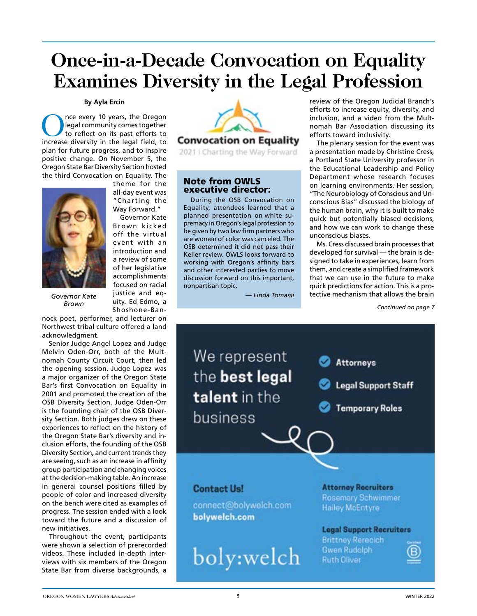## **Once-in-a-Decade Convocation on Equality Examines Diversity in the Legal Profession**

### **By Ayla Ercin**

Once every 10 years, the Oregon<br>
legal community comes together<br>
to reflect on its past efforts to<br>
increase diversity in the legal field, to legal community comes together increase diversity in the legal field, to plan for future progress, and to inspire positive change. On November 5, the Oregon State Bar Diversity Section hosted the third Convocation on Equality. The theme for the



Governor Kate Brown kicked off the virtual

event with an introduction and a review of some of her legislative accomplishments focused on racial justice and equity. Ed Edmo, a

Shoshone-Ban-

all-day event was "Charting the Way Forward."

*Governor Kate Brown*

nock poet, performer, and lecturer on Northwest tribal culture offered a land acknowledgment.

Senior Judge Angel Lopez and Judge Melvin Oden-Orr, both of the Multnomah County Circuit Court, then led the opening session. Judge Lopez was a major organizer of the Oregon State Bar's first Convocation on Equality in 2001 and promoted the creation of the OSB Diversity Section. Judge Oden-Orr is the founding chair of the OSB Diversity Section. Both judges drew on these experiences to reflect on the history of the Oregon State Bar's diversity and inclusion efforts, the founding of the OSB Diversity Section, and current trends they are seeing, such as an increase in affinity group participation and changing voices at the decision-making table. An increase in general counsel positions filled by people of color and increased diversity on the bench were cited as examples of progress. The session ended with a look toward the future and a discussion of new initiatives.

Throughout the event, participants were shown a selection of prerecorded videos. These included in-depth interviews with six members of the Oregon State Bar from diverse backgrounds, a



2021 | Charting the Way Forward

### Note from OWLS executive director:

During the OSB Convocation on Equality, attendees learned that a planned presentation on white supremacy in Oregon's legal profession to be given by two law firm partners who are women of color was canceled. The OSB determined it did not pass their Keller review. OWLS looks forward to working with Oregon's affinity bars and other interested parties to move discussion forward on this important, nonpartisan topic.

*— Linda Tomassi*

review of the Oregon Judicial Branch's efforts to increase equity, diversity, and inclusion, and a video from the Multnomah Bar Association discussing its efforts toward inclusivity.

The plenary session for the event was a presentation made by Christine Cress, a Portland State University professor in the Educational Leadership and Policy Department whose research focuses on learning environments. Her session, "The Neurobiology of Conscious and Unconscious Bias" discussed the biology of the human brain, why it is built to make quick but potentially biased decisions, and how we can work to change these unconscious biases.

Ms. Cress discussed brain processes that developed for survival — the brain is designed to take in experiences, learn from them, and create a simplified framework that we can use in the future to make quick predictions for action. This is a protective mechanism that allows the brain

*Continued on page 7*

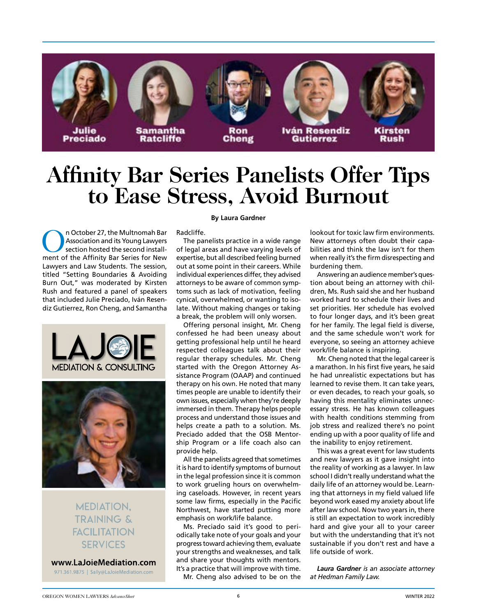

# **Affinity Bar Series Panelists Offer Tips to Ease Stress, Avoid Burnout**

On October 27, the Multnomah Bar Association and its Young Lawyers section hosted the second installment of the Affinity Bar Series for New Lawyers and Law Students. The session, titled "Setting Boundaries & Avoiding Burn Out," was moderated by Kirsten Rush and featured a panel of speakers that included Julie Preciado, Iván Resendiz Gutierrez, Ron Cheng, and Samantha





**MEDIATION. TRAINING &** *FACILITATION* **SERVICES** 

www.LaJoieMediation.com 971.361.9875 | Sally@LaJoieMediation.com

### **By Laura Gardner**

Radcliffe.

The panelists practice in a wide range of legal areas and have varying levels of expertise, but all described feeling burned out at some point in their careers. While individual experiences differ, they advised attorneys to be aware of common symptoms such as lack of motivation, feeling cynical, overwhelmed, or wanting to isolate. Without making changes or taking a break, the problem will only worsen.

Offering personal insight, Mr. Cheng confessed he had been uneasy about getting professional help until he heard respected colleagues talk about their regular therapy schedules. Mr. Cheng started with the Oregon Attorney Assistance Program (OAAP) and continued therapy on his own. He noted that many times people are unable to identify their own issues, especially when they're deeply immersed in them. Therapy helps people process and understand those issues and helps create a path to a solution. Ms. Preciado added that the OSB Mentorship Program or a life coach also can provide help.

All the panelists agreed that sometimes it is hard to identify symptoms of burnout in the legal profession since it is common to work grueling hours on overwhelming caseloads. However, in recent years some law firms, especially in the Pacific Northwest, have started putting more emphasis on work/life balance.

Ms. Preciado said it's good to periodically take note of your goals and your progress toward achieving them, evaluate your strengths and weaknesses, and talk and share your thoughts with mentors. It's a practice that will improve with time.

Mr. Cheng also advised to be on the

lookout for toxic law firm environments. New attorneys often doubt their capabilities and think the law isn't for them when really it's the firm disrespecting and burdening them.

Answering an audience member's question about being an attorney with children, Ms. Rush said she and her husband worked hard to schedule their lives and set priorities. Her schedule has evolved to four longer days, and it's been great for her family. The legal field is diverse, and the same schedule won't work for everyone, so seeing an attorney achieve work/life balance is inspiring.

Mr. Cheng noted that the legal career is a marathon. In his first five years, he said he had unrealistic expectations but has learned to revise them. It can take years, or even decades, to reach your goals, so having this mentality eliminates unnecessary stress. He has known colleagues with health conditions stemming from job stress and realized there's no point ending up with a poor quality of life and the inability to enjoy retirement.

This was a great event for law students and new lawyers as it gave insight into the reality of working as a lawyer. In law school I didn't really understand what the daily life of an attorney would be. Learning that attorneys in my field valued life beyond work eased my anxiety about life after law school. Now two years in, there is still an expectation to work incredibly hard and give your all to your career but with the understanding that it's not sustainable if you don't rest and have a life outside of work.

*Laura Gardner is an associate attorney at Hedman Family Law.*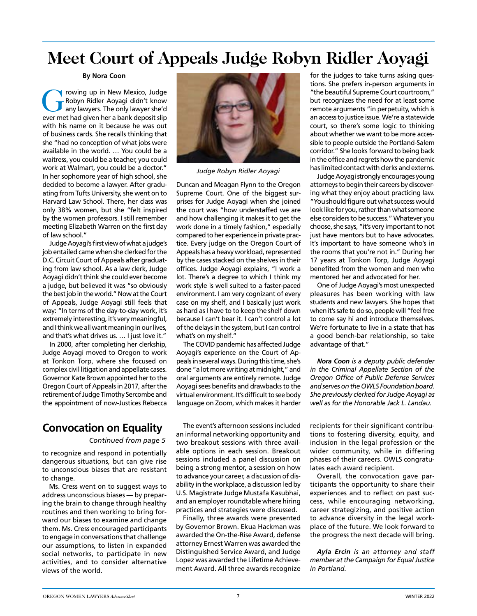### **Meet Court of Appeals Judge Robyn Ridler Aoyagi**

#### **By Nora Coon**

The Mexico, Judge<br>The Supplementary and Holomorphic and Holomorphic and Supplementary and Supplementary and Supplementary and Supplementary and Supplementary and Supplementary and Supplementary and Supplementary and Supple Robyn Ridler Aoyagi didn't know any lawyers. The only lawyer she'd ever met had given her a bank deposit slip with his name on it because he was out of business cards. She recalls thinking that she "had no conception of what jobs were available in the world. … You could be a waitress, you could be a teacher, you could work at Walmart, you could be a doctor." In her sophomore year of high school, she decided to become a lawyer. After graduating from Tufts University, she went on to Harvard Law School. There, her class was only 38% women, but she "felt inspired by the women professors. I still remember meeting Elizabeth Warren on the first day of law school."

Judge Aoyagi's first view of what a judge's job entailed came when she clerked for the D.C. Circuit Court of Appeals after graduating from law school. As a law clerk, Judge Aoyagi didn't think she could ever become a judge, but believed it was "so obviously the best job in the world." Now at the Court of Appeals, Judge Aoyagi still feels that way: "In terms of the day-to-day work, it's extremely interesting, it's very meaningful, and I think we all want meaning in our lives, and that's what drives us. … I just love it."

In 2000, after completing her clerkship, Judge Aoyagi moved to Oregon to work at Tonkon Torp, where she focused on complex civil litigation and appellate cases. Governor Kate Brown appointed her to the Oregon Court of Appeals in 2017, after the retirement of Judge Timothy Sercombe and the appointment of now-Justices Rebecca

### **Convocation on Equality**

*Continued from page 5*

to recognize and respond in potentially dangerous situations, but can give rise to unconscious biases that are resistant to change.

Ms. Cress went on to suggest ways to address unconscious biases — by preparing the brain to change through healthy routines and then working to bring forward our biases to examine and change them. Ms. Cress encouraged participants to engage in conversations that challenge our assumptions, to listen in expanded social networks, to participate in new activities, and to consider alternative views of the world.



*Judge Robyn Ridler Aoyagi*

Duncan and Meagan Flynn to the Oregon Supreme Court. One of the biggest surprises for Judge Aoyagi when she joined the court was "how understaffed we are and how challenging it makes it to get the work done in a timely fashion," especially compared to her experience in private practice. Every judge on the Oregon Court of Appeals has a heavy workload, represented by the cases stacked on the shelves in their offices. Judge Aoyagi explains, "I work a lot. There's a degree to which I think my work style is well suited to a faster-paced environment. I am very cognizant of every case on my shelf, and I basically just work as hard as I have to to keep the shelf down because I can't bear it. I can't control a lot of the delays in the system, but I can control what's on my shelf."

The COVID pandemic has affected Judge Aoyagi's experience on the Court of Appeals in several ways. During this time, she's done "a lot more writing at midnight," and oral arguments are entirely remote. Judge Aoyagi sees benefits and drawbacks to the virtual environment. It's difficult to see body language on Zoom, which makes it harder

The event's afternoon sessions included an informal networking opportunity and two breakout sessions with three available options in each session. Breakout sessions included a panel discussion on being a strong mentor, a session on how to advance your career, a discussion of disability in the workplace, a discussion led by U.S. Magistrate Judge Mustafa Kasubhai, and an employer roundtable where hiring practices and strategies were discussed.

Finally, three awards were presented by Governor Brown. Ekua Hackman was awarded the On-the-Rise Award, defense attorney Ernest Warren was awarded the Distinguished Service Award, and Judge Lopez was awarded the Lifetime Achievement Award. All three awards recognize for the judges to take turns asking questions. She prefers in-person arguments in "the beautiful Supreme Court courtroom," but recognizes the need for at least some remote arguments "in perpetuity, which is an access to justice issue. We're a statewide court, so there's some logic to thinking about whether we want to be more accessible to people outside the Portland-Salem corridor." She looks forward to being back in the office and regrets how the pandemic has limited contact with clerks and externs.

Judge Aoyagi strongly encourages young attorneys to begin their careers by discovering what they enjoy about practicing law. "You should figure out what success would look like for you, rather than what someone else considers to be success." Whatever you choose, she says, "it's very important to not just have mentors but to have advocates. It's important to have someone who's in the rooms that you're not in." During her 17 years at Tonkon Torp, Judge Aoyagi benefited from the women and men who mentored her and advocated for her.

One of Judge Aoyagi's most unexpected pleasures has been working with law students and new lawyers. She hopes that when it's safe to do so, people will "feel free to come say hi and introduce themselves. We're fortunate to live in a state that has a good bench-bar relationship, so take advantage of that."

*Nora Coon is a deputy public defender in the Criminal Appellate Section of the Oregon Office of Public Defense Services and serves on the OWLS Foundation board. She previously clerked for Judge Aoyagi as well as for the Honorable Jack L. Landau.*

recipients for their significant contributions to fostering diversity, equity, and inclusion in the legal profession or the wider community, while in differing phases of their careers. OWLS congratulates each award recipient.

Overall, the convocation gave participants the opportunity to share their experiences and to reflect on past success, while encouraging networking, career strategizing, and positive action to advance diversity in the legal workplace of the future. We look forward to the progress the next decade will bring.

*Ayla Ercin is an attorney and staff member at the Campaign for Equal Justice in Portland.*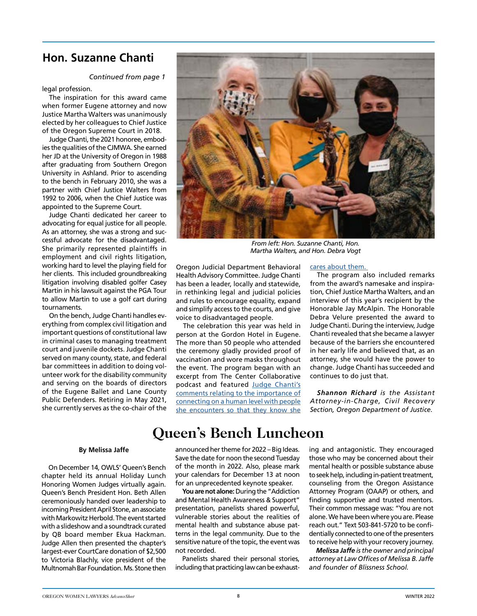### **Hon. Suzanne Chanti**

### *Continued from page 1*

legal profession.

The inspiration for this award came when former Eugene attorney and now Justice Martha Walters was unanimously elected by her colleagues to Chief Justice of the Oregon Supreme Court in 2018.

Judge Chanti, the 2021 honoree, embodies the qualities of the CJMWA. She earned her JD at the University of Oregon in 1988 after graduating from Southern Oregon University in Ashland. Prior to ascending to the bench in February 2010, she was a partner with Chief Justice Walters from 1992 to 2006, when the Chief Justice was appointed to the Supreme Court.

Judge Chanti dedicated her career to advocating for equal justice for all people. As an attorney, she was a strong and successful advocate for the disadvantaged. She primarily represented plaintiffs in employment and civil rights litigation, working hard to level the playing field for her clients. This included groundbreaking litigation involving disabled golfer Casey Martin in his lawsuit against the PGA Tour to allow Martin to use a golf cart during tournaments.

On the bench, Judge Chanti handles everything from complex civil litigation and important questions of constitutional law in criminal cases to managing treatment court and juvenile dockets. Judge Chanti served on many county, state, and federal bar committees in addition to doing volunteer work for the disability community and serving on the boards of directors of the Eugene Ballet and Lane County Public Defenders. Retiring in May 2021, she currently serves as the co-chair of the



*From left: Hon. Suzanne Chanti, Hon. Martha Walters, and Hon. Debra Vogt*

Oregon Judicial Department Behavioral Health Advisory Committee. Judge Chanti has been a leader, locally and statewide, in rethinking legal and judicial policies and rules to encourage equality, expand and simplify access to the courts, and give voice to disadvantaged people.

The celebration this year was held in person at the Gordon Hotel in Eugene. The more than 50 people who attended the ceremony gladly provided proof of vaccination and wore masks throughout the event. The program began with an excerpt from The Center Collaborative podcast and featured [Judge Chanti's](https://www.youtube.com/watch?v=nhjKiHJ9k6A 
)  [comments relating to the importance of](https://www.youtube.com/watch?v=nhjKiHJ9k6A 
) [connecting on a human level with people](https://www.youtube.com/watch?v=nhjKiHJ9k6A 
)  [she encounters so that they know she](https://www.youtube.com/watch?v=nhjKiHJ9k6A 
)

#### [cares about them.](https://www.youtube.com/watch?v=nhjKiHJ9k6A 
)

The program also included remarks from the award's namesake and inspiration, Chief Justice Martha Walters, and an interview of this year's recipient by the Honorable Jay McAlpin. The Honorable Debra Velure presented the award to Judge Chanti. During the interview, Judge Chanti revealed that she became a lawyer because of the barriers she encountered in her early life and believed that, as an attorney, she would have the power to change. Judge Chanti has succeeded and continues to do just that.

*Shannon Richard is the Assistant Attorney-in-Charge, Civil Recovery Section, Oregon Department of Justice.*

### **Queen's Bench Luncheon**

#### **By Melissa Jaffe**

On December 14, OWLS' Queen's Bench chapter held its annual Holiday Lunch Honoring Women Judges virtually again. Queen's Bench President Hon. Beth Allen ceremoniously handed over leadership to incoming President April Stone, an associate with Markowitz Herbold. The event started with a slideshow and a soundtrack curated by QB board member Ekua Hackman. Judge Allen then presented the chapter's largest-ever CourtCare donation of \$2,500 to Victoria Blachly, vice president of the Multnomah Bar Foundation. Ms. Stone then

announced her theme for 2022 – Big Ideas. Save the date for noon the second Tuesday of the month in 2022. Also, please mark your calendars for December 13 at noon for an unprecedented keynote speaker.

**You are not alone:** During the "Addiction and Mental Health Awareness & Support" presentation, panelists shared powerful, vulnerable stories about the realities of mental health and substance abuse patterns in the legal community. Due to the sensitive nature of the topic, the event was not recorded.

Panelists shared their personal stories, including that practicing law can be exhausting and antagonistic. They encouraged those who may be concerned about their mental health or possible substance abuse to seek help, including in-patient treatment, counseling from the Oregon Assistance Attorney Program (OAAP) or others, and finding supportive and trusted mentors. Their common message was: "You are not alone. We have been where you are. Please reach out." Text 503-841-5720 to be confidentially connected to one of the presenters to receive help with your recovery journey.

*Melissa Jaffe is the owner and principal attorney at Law Offices of Melissa B. Jaffe and founder of Blissness School.*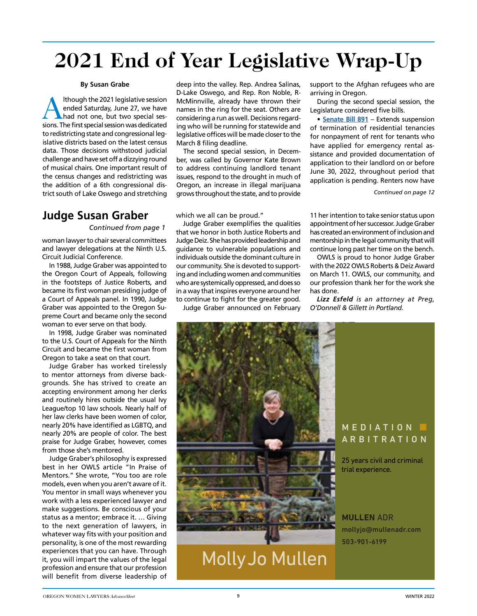# **2021 End of Year Legislative Wrap-Up**

#### **By Susan Grabe**

Although the 2021 legislative session<br>
hadd not one, but two special ses-<br>
sessions The first regal continues dedicated ended Saturday, June 27, we have sions. The first special session was dedicated to redistricting state and congressional legislative districts based on the latest census data. Those decisions withstood judicial challenge and have set off a dizzying round of musical chairs. One important result of the census changes and redistricting was the addition of a 6th congressional district south of Lake Oswego and stretching

### **Judge Susan Graber**

*Continued from page 1*

woman lawyer to chair several committees and lawyer delegations at the Ninth U.S. Circuit Judicial Conference.

In 1988, Judge Graber was appointed to the Oregon Court of Appeals, following in the footsteps of Justice Roberts, and became its first woman presiding judge of a Court of Appeals panel. In 1990, Judge Graber was appointed to the Oregon Supreme Court and became only the second woman to ever serve on that body.

In 1998, Judge Graber was nominated to the U.S. Court of Appeals for the Ninth Circuit and became the first woman from Oregon to take a seat on that court.

Judge Graber has worked tirelessly to mentor attorneys from diverse backgrounds. She has strived to create an accepting environment among her clerks and routinely hires outside the usual Ivy League/top 10 law schools. Nearly half of her law clerks have been women of color, nearly 20% have identified as LGBTQ, and nearly 20% are people of color. The best praise for Judge Graber, however, comes from those she's mentored.

Judge Graber's philosophy is expressed best in her OWLS article "In Praise of Mentors." She wrote, "You too are role models, even when you aren't aware of it. You mentor in small ways whenever you work with a less experienced lawyer and make suggestions. Be conscious of your status as a mentor; embrace it. … Giving to the next generation of lawyers, in whatever way fits with your position and personality, is one of the most rewarding experiences that you can have. Through it, you will impart the values of the legal profession and ensure that our profession will benefit from diverse leadership of

deep into the valley. Rep. Andrea Salinas, D-Lake Oswego, and Rep. Ron Noble, R-McMinnville, already have thrown their names in the ring for the seat. Others are considering a run as well. Decisions regarding who will be running for statewide and legislative offices will be made closer to the March 8 filing deadline.

The second special session, in December, was called by Governor Kate Brown to address continuing landlord tenant issues, respond to the drought in much of Oregon, an increase in illegal marijuana grows throughout the state, and to provide

which we all can be proud."

Judge Graber exemplifies the qualities that we honor in both Justice Roberts and Judge Deiz. She has provided leadership and guidance to vulnerable populations and individuals outside the dominant culture in our community. She is devoted to supporting and including women and communities who are systemically oppressed, and does so in a way that inspires everyone around her to continue to fight for the greater good.

Judge Graber announced on February

support to the Afghan refugees who are arriving in Oregon.

During the second special session, the Legislature considered five bills.

• **[Senate Bill 891](https://olis.oregonlegislature.gov/liz/2021S2/Measures/Overview/SB891)** – Extends suspension of termination of residential tenancies for nonpayment of rent for tenants who have applied for emergency rental assistance and provided documentation of application to their landlord on or before June 30, 2022, throughout period that application is pending. Renters now have

*Continued on page 12*

11 her intention to take senior status upon appointment of her successor. Judge Graber has created an environment of inclusion and mentorship in the legal community that will continue long past her time on the bench.

OWLS is proud to honor Judge Graber with the 2022 OWLS Roberts & Deiz Award on March 11. OWLS, our community, and our profession thank her for the work she has done.

*Lizz Esfeld is an attorney at Preg, O'Donnell & Gillett in Portland.* 



MollyJo Mullen

### MEDIATION **I** A RBIT R A TION

25 years civil and criminal trial experience.

**MULLEN** ADR mollyjo@mullenadr.com 503-901-6199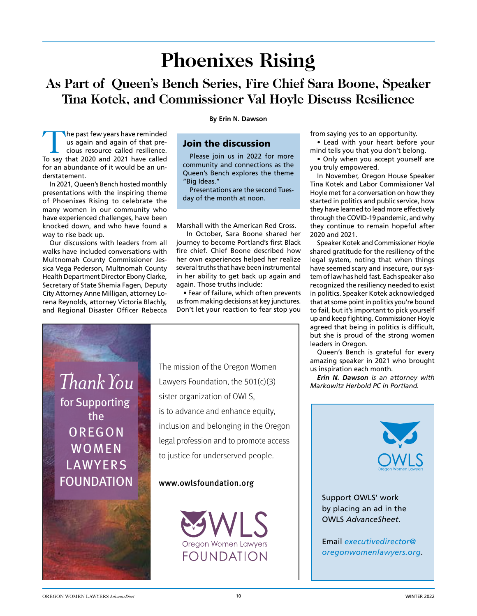# **Phoenixes Rising**

### **As Part of Queen's Bench Series, Fire Chief Sara Boone, Speaker Tina Kotek, and Commissioner Val Hoyle Discuss Resilience**

The past few years have reminded us again and again of that precious resource called resilience. To say that 2020 and 2021 have called for an abundance of it would be an understatement.

In 2021, Queen's Bench hosted monthly presentations with the inspiring theme of Phoenixes Rising to celebrate the many women in our community who have experienced challenges, have been knocked down, and who have found a way to rise back up.

Our discussions with leaders from all walks have included conversations with Multnomah County Commissioner Jessica Vega Pederson, Multnomah County Health Department Director Ebony Clarke, Secretary of State Shemia Fagen, Deputy City Attorney Anne Milligan, attorney Lorena Reynolds, attorney Victoria Blachly, and Regional Disaster Officer Rebecca

**By Erin N. Dawson**

### Join the discussion

Please join us in 2022 for more community and connections as the Queen's Bench explores the theme "Big Ideas."

Presentations are the second Tuesday of the month at noon.

Marshall with the American Red Cross.

 In October, Sara Boone shared her journey to become Portland's first Black fire chief. Chief Boone described how her own experiences helped her realize several truths that have been instrumental in her ability to get back up again and again. Those truths include:

• Fear of failure, which often prevents us from making decisions at key junctures. Don't let your reaction to fear stop you

*ThankYou* for Supporting the **OREGON WOMEN** LAWYERS FOUNDATION

The mission of the Oregon Women Lawyers Foundation, the  $501(c)(3)$ sister organization of OWLS, is to advance and enhance equity, inclusion and belonging in the Oregon legal profession and to promote access to justice for underserved people.

### www.owlsfoundation.org



from saying yes to an opportunity.

• Lead with your heart before your mind tells you that you don't belong.

• Only when you accept yourself are you truly empowered.

In November, Oregon House Speaker Tina Kotek and Labor Commissioner Val Hoyle met for a conversation on how they started in politics and public service, how they have learned to lead more effectively through the COVID-19 pandemic, and why they continue to remain hopeful after 2020 and 2021.

Speaker Kotek and Commissioner Hoyle shared gratitude for the resiliency of the legal system, noting that when things have seemed scary and insecure, our system of law has held fast. Each speaker also recognized the resiliency needed to exist in politics. Speaker Kotek acknowledged that at some point in politics you're bound to fail, but it's important to pick yourself up and keep fighting. Commissioner Hoyle agreed that being in politics is difficult, but she is proud of the strong women leaders in Oregon.

Queen's Bench is grateful for every amazing speaker in 2021 who brought us inspiration each month.

*Erin N. Dawson is an attorney with Markowitz Herbold PC in Portland.*



Support OWLS' work by placing an ad in the OWLS *AdvanceSheet*.

Email *executivedirector@ oregonwomenlawyers.org*.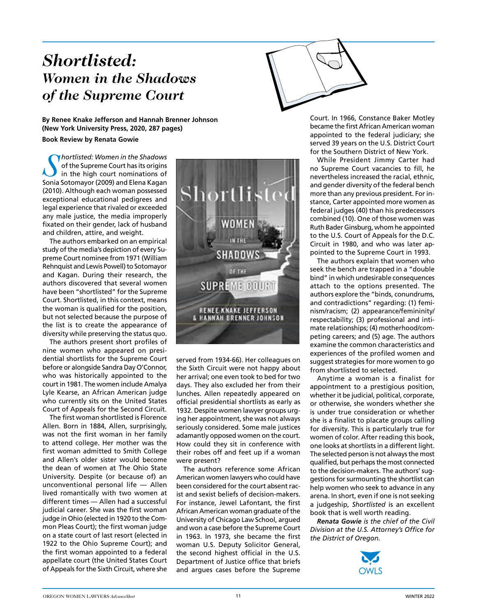### *Shortlisted: Women in the Shadows of the Supreme Court*

**By Renee Knake Jefferson and Hannah Brenner Johnson (New York University Press, 2020, 287 pages)**

#### **Book Review by Renata Gowie**

*S hortlisted: Women in the Shadows* of the Supreme Court has its origins in the high court nominations of Sonia Sotomayor (2009) and Elena Kagan (2010). Although each woman possessed exceptional educational pedigrees and legal experience that rivaled or exceeded any male justice, the media improperly fixated on their gender, lack of husband and children, attire, and weight.

The authors embarked on an empirical study of the media's depiction of every Supreme Court nominee from 1971 (William Rehnquist and Lewis Powell) to Sotomayor and Kagan. During their research, the authors discovered that several women have been "shortlisted" for the Supreme Court. Shortlisted, in this context, means the woman is qualified for the position, but not selected because the purpose of the list is to create the appearance of diversity while preserving the status quo.

The authors present short profiles of nine women who appeared on presidential shortlists for the Supreme Court before or alongside Sandra Day O'Connor, who was historically appointed to the court in 1981. The women include Amalya Lyle Kearse, an African American judge who currently sits on the United States Court of Appeals for the Second Circuit.

The first woman shortlisted is Florence Allen. Born in 1884, Allen, surprisingly, was not the first woman in her family to attend college. Her mother was the first woman admitted to Smith College and Allen's older sister would become the dean of women at The Ohio State University. Despite (or because of) an unconventional personal life — Allen lived romantically with two women at different times — Allen had a successful judicial career. She was the first woman judge in Ohio (elected in 1920 to the Common Pleas Court); the first woman judge on a state court of last resort (elected in 1922 to the Ohio Supreme Court); and the first woman appointed to a federal appellate court (the United States Court of Appeals for the Sixth Circuit, where she



served from 1934-66). Her colleagues on the Sixth Circuit were not happy about her arrival; one even took to bed for two days. They also excluded her from their lunches. Allen repeatedly appeared on official presidential shortlists as early as 1932. Despite women lawyer groups urging her appointment, she was not always seriously considered. Some male justices adamantly opposed women on the court. How could they sit in conference with their robes off and feet up if a woman were present?

The authors reference some African American women lawyers who could have been considered for the court absent racist and sexist beliefs of decision-makers. For instance, Jewel Lafontant, the first African American woman graduate of the University of Chicago Law School, argued and won a case before the Supreme Court in 1963. In 1973, she became the first woman U.S. Deputy Solicitor General, the second highest official in the U.S. Department of Justice office that briefs and argues cases before the Supreme

Court. In 1966, Constance Baker Motley became the first African American woman appointed to the federal judiciary; she served 39 years on the U.S. District Court for the Southern District of New York.

While President Jimmy Carter had no Supreme Court vacancies to fill, he nevertheless increased the racial, ethnic, and gender diversity of the federal bench more than any previous president. For instance, Carter appointed more women as federal judges (40) than his predecessors combined (10). One of those women was Ruth Bader Ginsburg, whom he appointed to the U.S. Court of Appeals for the D.C. Circuit in 1980, and who was later appointed to the Supreme Court in 1993.

The authors explain that women who seek the bench are trapped in a "double bind" in which undesirable consequences attach to the options presented. The authors explore the "binds, conundrums, and contradictions" regarding: (1) feminism/racism; (2) appearance/femininity/ respectability; (3) professional and intimate relationships; (4) motherhood/competing careers; and (5) age. The authors examine the common characteristics and experiences of the profiled women and suggest strategies for more women to go from shortlisted to selected.

Anytime a woman is a finalist for appointment to a prestigious position, whether it be judicial, political, corporate, or otherwise, she wonders whether she is under true consideration or whether she is a finalist to placate groups calling for diversity. This is particularly true for women of color. After reading this book, one looks at shortlists in a different light. The selected person is not always the most qualified, but perhaps the most connected to the decision-makers. The authors' suggestions for surmounting the shortlist can help women who seek to advance in any arena. In short, even if one is not seeking a judgeship, *Shortlisted* is an excellent book that is well worth reading.

*Renata Gowie is the chief of the Civil Division at the U.S. Attorney's Office for the District of Oregon.* 

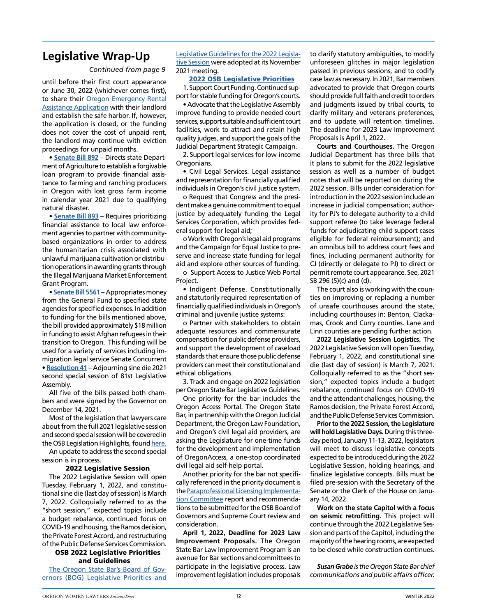### **Legislative Wrap-Up**

#### *Continued from page 9*

until before their first court appearance or June 30, 2022 (whichever comes first), to share their [Oregon Emergency Rental](https://oerap.oregon.gov) [Assistance Application](https://oerap.oregon.gov) with their landlord and establish the safe harbor. If, however, the application is closed, or the funding does not cover the cost of unpaid rent, the landlord may continue with eviction proceedings for unpaid months.

• **[Senate Bill 892](https://olis.oregonlegislature.gov/liz/2021S2/Measures/Overview/SB892)** – Directs state Department of Agriculture to establish a forgivable loan program to provide financial assistance to farming and ranching producers in Oregon with lost gross farm income in calendar year 2021 due to qualifying natural disaster.

• **[Senate Bill 893](https://olis.oregonlegislature.gov/liz/2021S2/Measures/Overview/SB893)** – Requires prioritizing financial assistance to local law enforcement agencies to partner with communitybased organizations in order to address the humanitarian crisis associated with unlawful marijuana cultivation or distribution operations in awarding grants through the Illegal Marijuana Market Enforcement Grant Program.

• **[Senate Bill 5561](https://olis.oregonlegislature.gov/liz/2021S2/Measures/Overview/SB5561)** – Appropriates money from the General Fund to specified state agencies for specified expenses. In addition to funding for the bills mentioned above, the bill provided approximately \$18 million in funding to assist Afghan refugees in their transition to Oregon. This funding will be used for a variety of services including immigration legal service Senate Concurrent • **[Resolution 41](https://olis.oregonlegislature.gov/liz/2021S2/Measures/Overview/SCR41)** – Adjourning sine die 2021 second special session of 81st Legislative Assembly.

All five of the bills passed both chambers and were signed by the Governor on December 14, 2021.

Most of the legislation that lawyers care about from the full 2021 legislative session and second special session will be covered in the OSB Legislation Highlights, found [here.](http://www.osbar.org/pubaffairs/legislationarchive.html#highlights)

An update to address the second special session is in process.

#### 2022 Legislative Session

The 2022 Legislative Session will open Tuesday, February 1, 2022, and constitutional sine die (last day of session) is March 7, 2022. Colloquially referred to as the "short session," expected topics include a budget rebalance, continued focus on COVID-19 and housing, the Ramos decision, the Private Forest Accord, and restructuring of the Public Defense Services Commission.

### OSB 2022 Legislative Priorities and Guidelines

The Oregon State Bar's Board of Governors (BOG) Legislative Priorities and Legislative Guidelines for the 2022 Legislative Session were adopted at its November 2021 meeting.

#### [2022 OSB Legislative Priorities](https://publicaffairs.osbar.org/files/2022-BOG-Adopted-Legislative-Priorities.pdf)

1. Support Court Funding. Continued support for stable funding for Oregon's courts.

• Advocate that the Legislative Assembly improve funding to provide needed court services, support suitable and sufficient court facilities, work to attract and retain high quality judges, and support the goals of the Judicial Department Strategic Campaign.

2. Support legal services for low-income Oregonians.

• Civil Legal Services. Legal assistance and representation for financially qualified individuals in Oregon's civil justice system.

o Request that Congress and the president make a genuine commitment to equal justice by adequately funding the Legal Services Corporation, which provides federal support for legal aid;

o Work with Oregon's legal aid programs and the Campaign for Equal Justice to preserve and increase state funding for legal aid and explore other sources of funding.

o Support Access to Justice Web Portal Project.

• Indigent Defense. Constitutionally and statutorily required representation of financially qualified individuals in Oregon's criminal and juvenile justice systems:

o Partner with stakeholders to obtain adequate resources and commensurate compensation for public defense providers, and support the development of caseload standards that ensure those public defense providers can meet their constitutional and ethical obligations.

3. Track and engage on 2022 legislation per Oregon State Bar Legislative Guidelines.

One priority for the bar includes the Oregon Access Portal. The Oregon State Bar, in partnership with the Oregon Judicial Department, the Oregon Law Foundation, and Oregon's civil legal aid providers, are asking the Legislature for one-time funds for the development and implementation of OregonAccess, a one-stop coordinated civil legal aid self-help portal.

Another priority for the bar not specifically referenced in the priority document is the [Paraprofessional Licensing Implementa](https://paraprofessional.osbar.org/)[tion Committee](https://paraprofessional.osbar.org/) report and recommendations to be submitted for the OSB Board of Governors and Supreme Court review and consideration.

**April 1, 2022, Deadline for 2023 Law Improvement Proposals.** The Oregon State Bar Law Improvement Program is an avenue for Bar sections and committees to participate in the legislative process. Law improvement legislation includes proposals to clarify statutory ambiguities, to modify unforeseen glitches in major legislation passed in previous sessions, and to codify case law as necessary. In 2021, Bar members advocated to provide that Oregon courts should provide full faith and credit to orders and judgments issued by tribal courts, to clarify military and veterans preferences, and to update will retention timelines. The deadline for 2023 Law Improvement Proposals is April 1, 2022.

**Courts and Courthouses.** The Oregon Judicial Department has three bills that it plans to submit for the 2022 legislative session as well as a number of budget notes that will be reported on during the 2022 session. Bills under consideration for introduction in the 2022 session include an increase in judicial compensation; authority for PJ's to delegate authority to a child support referee (to take leverage federal funds for adjudicating child support cases eligible for federal reimbursement); and an omnibus bill to address court fees and fines, including permanent authority for CJ (directly or delegate to PJ) to direct or permit remote court appearance. See, 2021 SB 296 (5)(c) and (d).

The court also is working with the counties on improving or replacing a number of unsafe courthouses around the state, including courthouses in: Benton, Clackamas, Crook and Curry counties. Lane and Linn counties are pending further action.

**2022 Legislative Session Logistics.** The 2022 Legislative Session will open Tuesday, February 1, 2022, and constitutional sine die (last day of session) is March 7, 2021. Colloquially referred to as the "short session," expected topics include a budget rebalance, continued focus on COVID-19 and the attendant challenges, housing, the Ramos decision, the Private Forest Accord, and the Public Defense Services Commission.

**Prior to the 2022 Session, the Legislature will hold Legislative Days.** During this threeday period, January 11-13, 2022, legislators will meet to discuss legislative concepts expected to be introduced during the 2022 Legislative Session, holding hearings, and finalize legislative concepts. Bills must be filed pre-session with the Secretary of the Senate or the Clerk of the House on January 14, 2022.

**Work on the state Capitol with a focus on seismic retrofitting.** This project will continue through the 2022 Legislative Session and parts of the Capitol, including the majority of the hearing rooms, are expected to be closed while construction continues.

*Susan Grabe is the Oregon State Bar chief communications and public affairs officer.*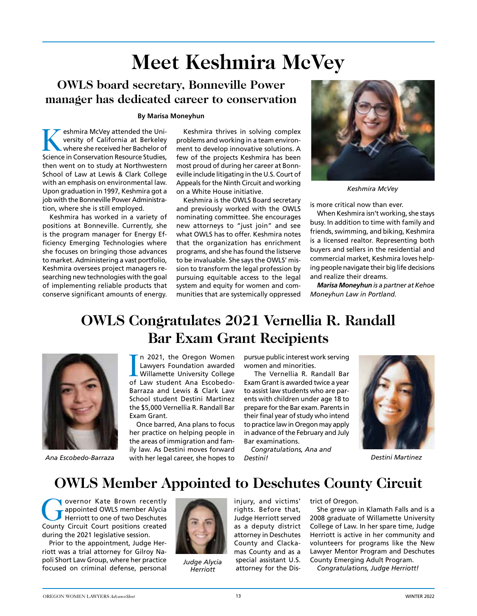# **Meet Keshmira McVey**

### **OWLS board secretary, Bonneville Power manager has dedicated career to conservation**

### **By Marisa Moneyhun**

eshmira McVey attended the University of California at Berkeley where she received her Bachelor of Science in Conservation Resource Studies, then went on to study at Northwestern School of Law at Lewis & Clark College with an emphasis on environmental law. Upon graduation in 1997, Keshmira got a job with the Bonneville Power Administration, where she is still employed.

Keshmira has worked in a variety of positions at Bonneville. Currently, she is the program manager for Energy Efficiency Emerging Technologies where she focuses on bringing those advances to market. Administering a vast portfolio, Keshmira oversees project managers researching new technologies with the goal of implementing reliable products that conserve significant amounts of energy.

Keshmira thrives in solving complex problems and working in a team environment to develop innovative solutions. A few of the projects Keshmira has been most proud of during her career at Bonneville include litigating in the U.S. Court of Appeals for the Ninth Circuit and working on a White House initiative.

Keshmira is the OWLS Board secretary and previously worked with the OWLS nominating committee. She encourages new attorneys to "just join" and see what OWLS has to offer. Keshmira notes that the organization has enrichment programs, and she has found the listserve to be invaluable. She says the OWLS' mission to transform the legal profession by pursuing equitable access to the legal system and equity for women and communities that are systemically oppressed



*Keshmira McVey*

is more critical now than ever.

When Keshmira isn't working, she stays busy. In addition to time with family and friends, swimming, and biking, Keshmira is a licensed realtor. Representing both buyers and sellers in the residential and commercial market, Keshmira loves helping people navigate their big life decisions and realize their dreams.

*Marisa Moneyhun is a partner at Kehoe Moneyhun Law in Portland.* 

### **OWLS Congratulates 2021 Vernellia R. Randall Bar Exam Grant Recipients**



In 2021, the Oregon Women<br>Lawyers Foundation awarded<br>Willamette University College<br>of Law student Ana Escobedon 2021, the Oregon Women Lawyers Foundation awarded Willamette University College Barraza and Lewis & Clark Law School student Destini Martinez the \$5,000 Vernellia R. Randall Bar Exam Grant.

*Ana Escobedo-Barraza Destini Martinez* with her legal career, she hopes to Once barred, Ana plans to focus her practice on helping people in the areas of immigration and family law. As Destini moves forward

pursue public interest work serving women and minorities.

 The Vernellia R. Randall Bar Exam Grant is awarded twice a year to assist law students who are parents with children under age 18 to prepare for the Bar exam. Parents in their final year of study who intend to practice law in Oregon may apply in advance of the February and July Bar examinations.

*Congratulations, Ana and Destini!*



### **OWLS Member Appointed to Deschutes County Circuit**

Overnor Kate Brown recently<br>appointed OWLS member Alycia<br>Herriott to one of two Deschutes appointed OWLS member Alycia Herriott to one of two Deschutes County Circuit Court positions created during the 2021 legislative session.

Prior to the appointment, Judge Herriott was a trial attorney for Gilroy Napoli Short Law Group, where her practice focused on criminal defense, personal



*Judge Alycia Herriott*

injury, and victims' rights. Before that, Judge Herriott served as a deputy district attorney in Deschutes County and Clackamas County and as a special assistant U.S. attorney for the Dis-

#### trict of Oregon.

She grew up in Klamath Falls and is a 2008 graduate of Willamette University College of Law. In her spare time, Judge Herriott is active in her community and volunteers for programs like the New Lawyer Mentor Program and Deschutes County Emerging Adult Program.

*Congratulations, Judge Herriott!*